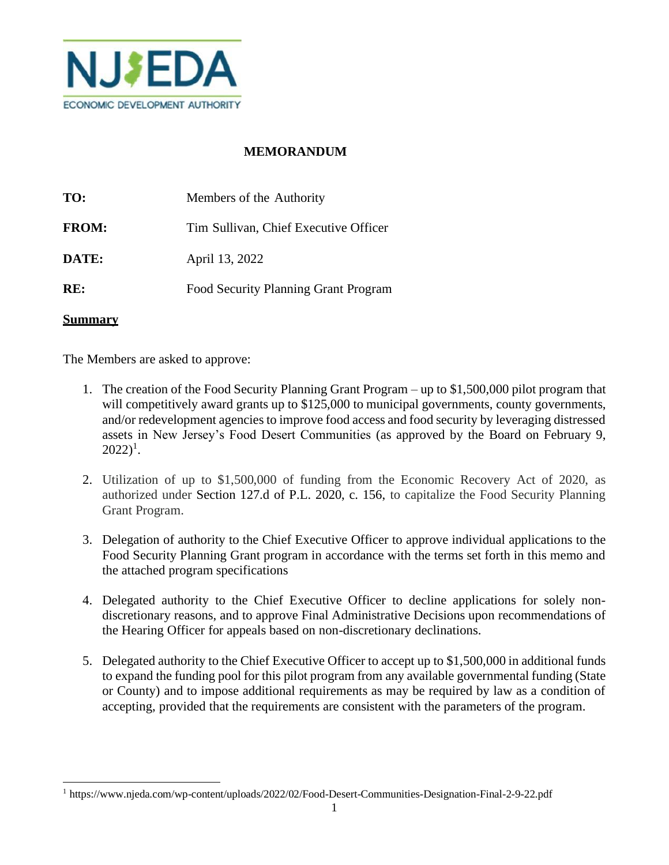

# **MEMORANDUM**

| TO:          | Members of the Authority              |
|--------------|---------------------------------------|
| <b>FROM:</b> | Tim Sullivan, Chief Executive Officer |
| DATE:        | April 13, 2022                        |
| RE:          | Food Security Planning Grant Program  |

#### **Summary**

The Members are asked to approve:

- 1. The creation of the Food Security Planning Grant Program up to \$1,500,000 pilot program that will competitively award grants up to \$125,000 to municipal governments, county governments, and/or redevelopment agenciesto improve food access and food security by leveraging distressed assets in New Jersey's Food Desert Communities (as approved by the Board on February 9,  $2022)^{1}$ .
- 2. Utilization of up to \$1,500,000 of funding from the Economic Recovery Act of 2020, as authorized under Section 127.d of P.L. 2020, c. 156, to capitalize the Food Security Planning Grant Program.
- 3. Delegation of authority to the Chief Executive Officer to approve individual applications to the Food Security Planning Grant program in accordance with the terms set forth in this memo and the attached program specifications
- 4. Delegated authority to the Chief Executive Officer to decline applications for solely nondiscretionary reasons, and to approve Final Administrative Decisions upon recommendations of the Hearing Officer for appeals based on non-discretionary declinations.
- 5. Delegated authority to the Chief Executive Officer to accept up to \$1,500,000 in additional funds to expand the funding pool for this pilot program from any available governmental funding (State or County) and to impose additional requirements as may be required by law as a condition of accepting, provided that the requirements are consistent with the parameters of the program.

<sup>1</sup> https://www.njeda.com/wp-content/uploads/2022/02/Food-Desert-Communities-Designation-Final-2-9-22.pdf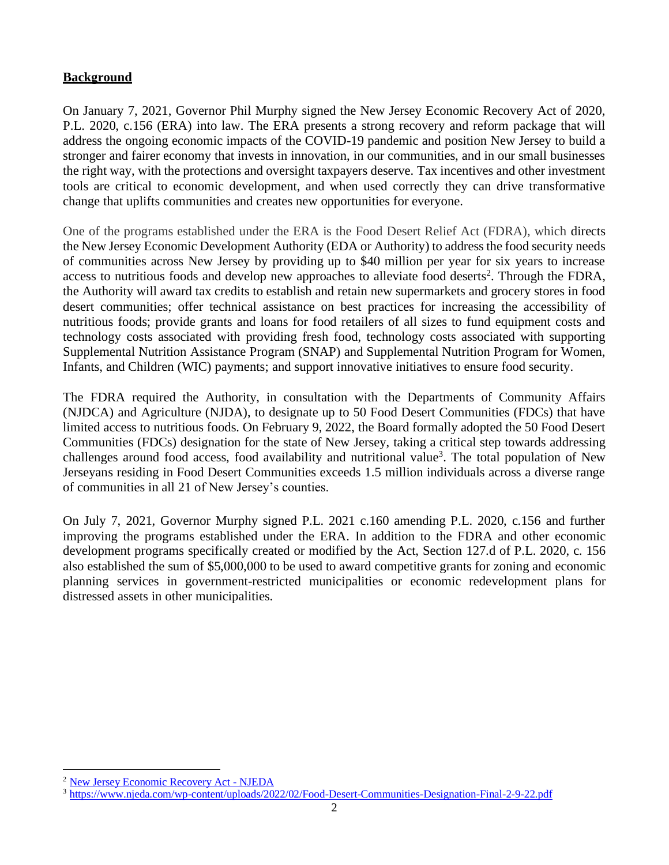### **Background**

On January 7, 2021, Governor Phil Murphy signed the New Jersey Economic Recovery Act of 2020, P.L. 2020, c.156 (ERA) into law. The ERA presents a strong recovery and reform package that will address the ongoing economic impacts of the COVID-19 pandemic and position New Jersey to build a stronger and fairer economy that invests in innovation, in our communities, and in our small businesses the right way, with the protections and oversight taxpayers deserve. Tax incentives and other investment tools are critical to economic development, and when used correctly they can drive transformative change that uplifts communities and creates new opportunities for everyone.

One of the programs established under the ERA is the Food Desert Relief Act (FDRA), which directs the New Jersey Economic Development Authority (EDA or Authority) to address the food security needs of communities across New Jersey by providing up to \$40 million per year for six years to increase access to nutritious foods and develop new approaches to alleviate food deserts<sup>2</sup>. Through the FDRA, the Authority will award tax credits to establish and retain new supermarkets and grocery stores in food desert communities; offer technical assistance on best practices for increasing the accessibility of nutritious foods; provide grants and loans for food retailers of all sizes to fund equipment costs and technology costs associated with providing fresh food, technology costs associated with supporting Supplemental Nutrition Assistance Program (SNAP) and Supplemental Nutrition Program for Women, Infants, and Children (WIC) payments; and support innovative initiatives to ensure food security.

The FDRA required the Authority, in consultation with the Departments of Community Affairs (NJDCA) and Agriculture (NJDA), to designate up to 50 Food Desert Communities (FDCs) that have limited access to nutritious foods. On February 9, 2022, the Board formally adopted the 50 Food Desert Communities (FDCs) designation for the state of New Jersey, taking a critical step towards addressing challenges around food access, food availability and nutritional value<sup>3</sup>. The total population of New Jerseyans residing in Food Desert Communities exceeds 1.5 million individuals across a diverse range of communities in all 21 of New Jersey's counties.

On July 7, 2021, Governor Murphy signed P.L. 2021 c.160 amending P.L. 2020, c.156 and further improving the programs established under the ERA. In addition to the FDRA and other economic development programs specifically created or modified by the Act, Section 127.d of P.L. 2020, c. 156 also established the sum of \$5,000,000 to be used to award competitive grants for zoning and economic planning services in government-restricted municipalities or economic redevelopment plans for distressed assets in other municipalities.

<sup>2</sup> [New Jersey Economic Recovery Act -](https://www.njeda.com/economicrecoveryact/#Programs) NJEDA

<sup>3</sup> <https://www.njeda.com/wp-content/uploads/2022/02/Food-Desert-Communities-Designation-Final-2-9-22.pdf>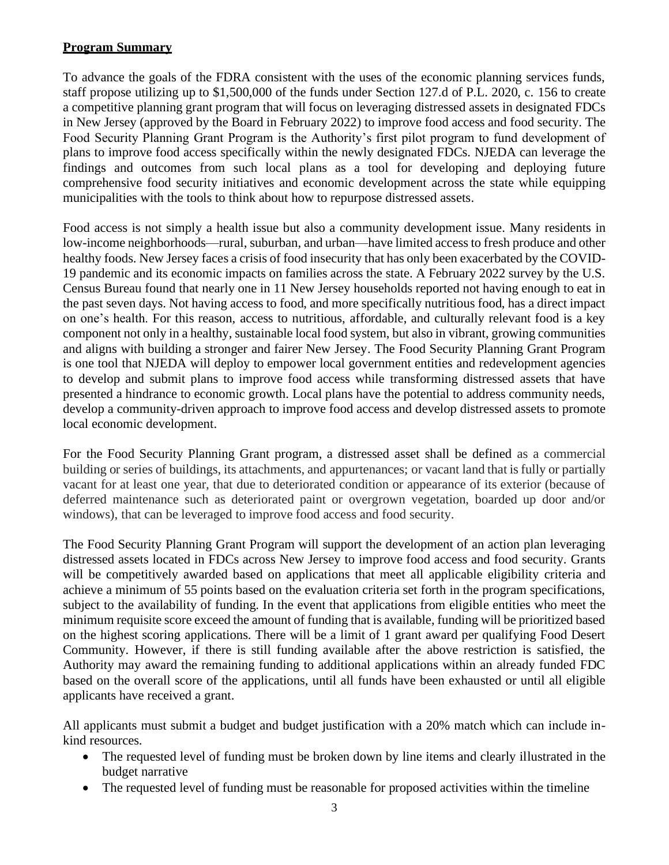## **Program Summary**

To advance the goals of the FDRA consistent with the uses of the economic planning services funds, staff propose utilizing up to \$1,500,000 of the funds under Section 127.d of P.L. 2020, c. 156 to create a competitive planning grant program that will focus on leveraging distressed assets in designated FDCs in New Jersey (approved by the Board in February 2022) to improve food access and food security. The Food Security Planning Grant Program is the Authority's first pilot program to fund development of plans to improve food access specifically within the newly designated FDCs. NJEDA can leverage the findings and outcomes from such local plans as a tool for developing and deploying future comprehensive food security initiatives and economic development across the state while equipping municipalities with the tools to think about how to repurpose distressed assets.

Food access is not simply a health issue but also a community development issue. Many residents in low-income neighborhoods—rural, suburban, and urban—have limited access to fresh produce and other healthy foods. New Jersey faces a crisis of food insecurity that has only been exacerbated by the COVID-19 pandemic and its economic impacts on families across the state. A February 2022 survey by the U.S. Census Bureau found that nearly one in 11 New Jersey households reported not having enough to eat in the past seven days. Not having access to food, and more specifically nutritious food, has a direct impact on one's health. For this reason, access to nutritious, affordable, and culturally relevant food is a key component not only in a healthy, sustainable local food system, but also in vibrant, growing communities and aligns with building a stronger and fairer New Jersey. The Food Security Planning Grant Program is one tool that NJEDA will deploy to empower local government entities and redevelopment agencies to develop and submit plans to improve food access while transforming distressed assets that have presented a hindrance to economic growth. Local plans have the potential to address community needs, develop a community-driven approach to improve food access and develop distressed assets to promote local economic development.

For the Food Security Planning Grant program, a distressed asset shall be defined as a commercial building or series of buildings, its attachments, and appurtenances; or vacant land that is fully or partially vacant for at least one year, that due to deteriorated condition or appearance of its exterior (because of deferred maintenance such as deteriorated paint or overgrown vegetation, boarded up door and/or windows), that can be leveraged to improve food access and food security.

The Food Security Planning Grant Program will support the development of an action plan leveraging distressed assets located in FDCs across New Jersey to improve food access and food security. Grants will be competitively awarded based on applications that meet all applicable eligibility criteria and achieve a minimum of 55 points based on the evaluation criteria set forth in the program specifications, subject to the availability of funding. In the event that applications from eligible entities who meet the minimum requisite score exceed the amount of funding that is available, funding will be prioritized based on the highest scoring applications. There will be a limit of 1 grant award per qualifying Food Desert Community. However, if there is still funding available after the above restriction is satisfied, the Authority may award the remaining funding to additional applications within an already funded FDC based on the overall score of the applications, until all funds have been exhausted or until all eligible applicants have received a grant.

All applicants must submit a budget and budget justification with a 20% match which can include inkind resources.

- The requested level of funding must be broken down by line items and clearly illustrated in the budget narrative
- The requested level of funding must be reasonable for proposed activities within the timeline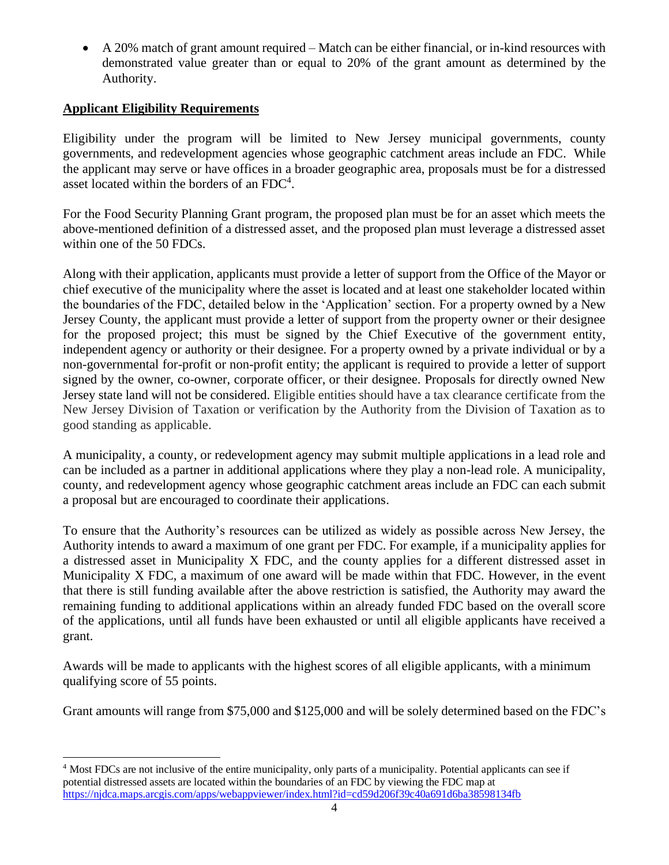• A 20% match of grant amount required – Match can be either financial, or in-kind resources with demonstrated value greater than or equal to 20% of the grant amount as determined by the Authority.

## **Applicant Eligibility Requirements**

Eligibility under the program will be limited to New Jersey municipal governments, county governments, and redevelopment agencies whose geographic catchment areas include an FDC. While the applicant may serve or have offices in a broader geographic area, proposals must be for a distressed asset located within the borders of an FDC<sup>4</sup>.

For the Food Security Planning Grant program, the proposed plan must be for an asset which meets the above-mentioned definition of a distressed asset, and the proposed plan must leverage a distressed asset within one of the 50 FDCs.

Along with their application, applicants must provide a letter of support from the Office of the Mayor or chief executive of the municipality where the asset is located and at least one stakeholder located within the boundaries of the FDC, detailed below in the 'Application' section. For a property owned by a New Jersey County, the applicant must provide a letter of support from the property owner or their designee for the proposed project; this must be signed by the Chief Executive of the government entity, independent agency or authority or their designee. For a property owned by a private individual or by a non-governmental for-profit or non-profit entity; the applicant is required to provide a letter of support signed by the owner, co-owner, corporate officer, or their designee. Proposals for directly owned New Jersey state land will not be considered. Eligible entities should have a tax clearance certificate from the New Jersey Division of Taxation or verification by the Authority from the Division of Taxation as to good standing as applicable.

A municipality, a county, or redevelopment agency may submit multiple applications in a lead role and can be included as a partner in additional applications where they play a non-lead role. A municipality, county, and redevelopment agency whose geographic catchment areas include an FDC can each submit a proposal but are encouraged to coordinate their applications.

To ensure that the Authority's resources can be utilized as widely as possible across New Jersey, the Authority intends to award a maximum of one grant per FDC. For example, if a municipality applies for a distressed asset in Municipality X FDC, and the county applies for a different distressed asset in Municipality X FDC, a maximum of one award will be made within that FDC. However, in the event that there is still funding available after the above restriction is satisfied, the Authority may award the remaining funding to additional applications within an already funded FDC based on the overall score of the applications, until all funds have been exhausted or until all eligible applicants have received a grant.

Awards will be made to applicants with the highest scores of all eligible applicants, with a minimum qualifying score of 55 points.

Grant amounts will range from \$75,000 and \$125,000 and will be solely determined based on the FDC's

<sup>&</sup>lt;sup>4</sup> Most FDCs are not inclusive of the entire municipality, only parts of a municipality. Potential applicants can see if potential distressed assets are located within the boundaries of an FDC by viewing the FDC map at <https://njdca.maps.arcgis.com/apps/webappviewer/index.html?id=cd59d206f39c40a691d6ba38598134fb>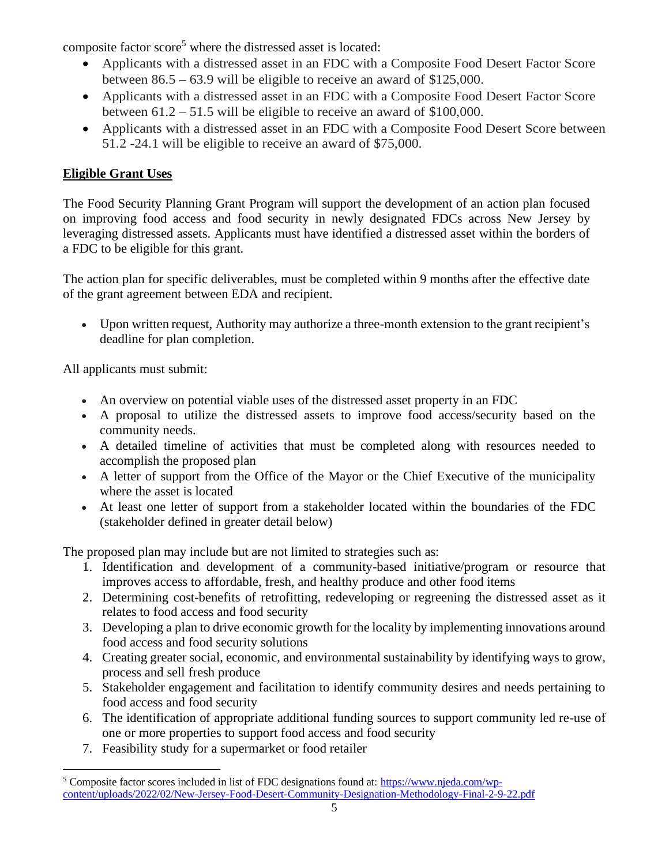composite factor score<sup>5</sup> where the distressed asset is located:

- Applicants with a distressed asset in an FDC with a Composite Food Desert Factor Score between 86.5 – 63.9 will be eligible to receive an award of \$125,000.
- Applicants with a distressed asset in an FDC with a Composite Food Desert Factor Score between 61.2 – 51.5 will be eligible to receive an award of \$100,000.
- Applicants with a distressed asset in an FDC with a Composite Food Desert Score between 51.2 -24.1 will be eligible to receive an award of \$75,000.

# **Eligible Grant Uses**

The Food Security Planning Grant Program will support the development of an action plan focused on improving food access and food security in newly designated FDCs across New Jersey by leveraging distressed assets. Applicants must have identified a distressed asset within the borders of a FDC to be eligible for this grant.

The action plan for specific deliverables, must be completed within 9 months after the effective date of the grant agreement between EDA and recipient.

• Upon written request, Authority may authorize a three-month extension to the grant recipient's deadline for plan completion.

All applicants must submit:

- An overview on potential viable uses of the distressed asset property in an FDC
- A proposal to utilize the distressed assets to improve food access/security based on the community needs.
- A detailed timeline of activities that must be completed along with resources needed to accomplish the proposed plan
- A letter of support from the Office of the Mayor or the Chief Executive of the municipality where the asset is located
- At least one letter of support from a stakeholder located within the boundaries of the FDC (stakeholder defined in greater detail below)

The proposed plan may include but are not limited to strategies such as:

- 1. Identification and development of a community-based initiative/program or resource that improves access to affordable, fresh, and healthy produce and other food items
- 2. Determining cost-benefits of retrofitting, redeveloping or regreening the distressed asset as it relates to food access and food security
- 3. Developing a plan to drive economic growth for the locality by implementing innovations around food access and food security solutions
- 4. Creating greater social, economic, and environmental sustainability by identifying ways to grow, process and sell fresh produce
- 5. Stakeholder engagement and facilitation to identify community desires and needs pertaining to food access and food security
- 6. The identification of appropriate additional funding sources to support community led re-use of one or more properties to support food access and food security
- 7. Feasibility study for a supermarket or food retailer

<sup>5</sup> Composite factor scores included in list of FDC designations found at: [https://www.njeda.com/wp](https://www.njeda.com/wp-content/uploads/2022/02/New-Jersey-Food-Desert-Community-Designation-Methodology-Final-2-9-22.pdf)[content/uploads/2022/02/New-Jersey-Food-Desert-Community-Designation-Methodology-Final-2-9-22.pdf](https://www.njeda.com/wp-content/uploads/2022/02/New-Jersey-Food-Desert-Community-Designation-Methodology-Final-2-9-22.pdf)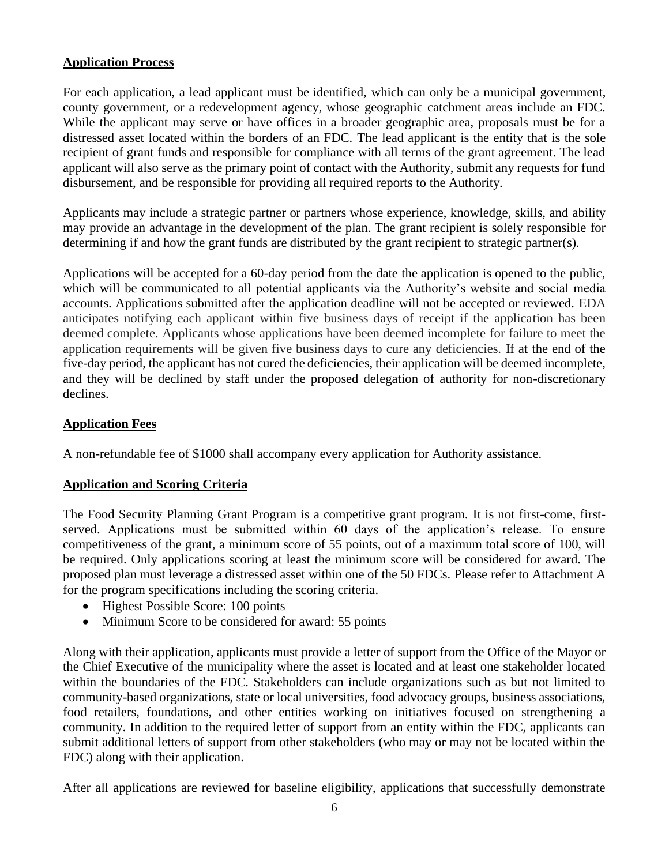#### **Application Process**

For each application, a lead applicant must be identified, which can only be a municipal government, county government, or a redevelopment agency, whose geographic catchment areas include an FDC. While the applicant may serve or have offices in a broader geographic area, proposals must be for a distressed asset located within the borders of an FDC. The lead applicant is the entity that is the sole recipient of grant funds and responsible for compliance with all terms of the grant agreement. The lead applicant will also serve as the primary point of contact with the Authority, submit any requests for fund disbursement, and be responsible for providing all required reports to the Authority.

Applicants may include a strategic partner or partners whose experience, knowledge, skills, and ability may provide an advantage in the development of the plan. The grant recipient is solely responsible for determining if and how the grant funds are distributed by the grant recipient to strategic partner(s).

Applications will be accepted for a 60-day period from the date the application is opened to the public, which will be communicated to all potential applicants via the Authority's website and social media accounts. Applications submitted after the application deadline will not be accepted or reviewed. EDA anticipates notifying each applicant within five business days of receipt if the application has been deemed complete. Applicants whose applications have been deemed incomplete for failure to meet the application requirements will be given five business days to cure any deficiencies. If at the end of the five-day period, the applicant has not cured the deficiencies, their application will be deemed incomplete, and they will be declined by staff under the proposed delegation of authority for non-discretionary declines.

#### **Application Fees**

A non-refundable fee of \$1000 shall accompany every application for Authority assistance.

## **Application and Scoring Criteria**

The Food Security Planning Grant Program is a competitive grant program. It is not first-come, firstserved. Applications must be submitted within 60 days of the application's release. To ensure competitiveness of the grant, a minimum score of 55 points, out of a maximum total score of 100, will be required. Only applications scoring at least the minimum score will be considered for award. The proposed plan must leverage a distressed asset within one of the 50 FDCs. Please refer to Attachment A for the program specifications including the scoring criteria.

- Highest Possible Score: 100 points
- Minimum Score to be considered for award: 55 points

Along with their application, applicants must provide a letter of support from the Office of the Mayor or the Chief Executive of the municipality where the asset is located and at least one stakeholder located within the boundaries of the FDC. Stakeholders can include organizations such as but not limited to community-based organizations, state or local universities, food advocacy groups, business associations, food retailers, foundations, and other entities working on initiatives focused on strengthening a community. In addition to the required letter of support from an entity within the FDC, applicants can submit additional letters of support from other stakeholders (who may or may not be located within the FDC) along with their application.

After all applications are reviewed for baseline eligibility, applications that successfully demonstrate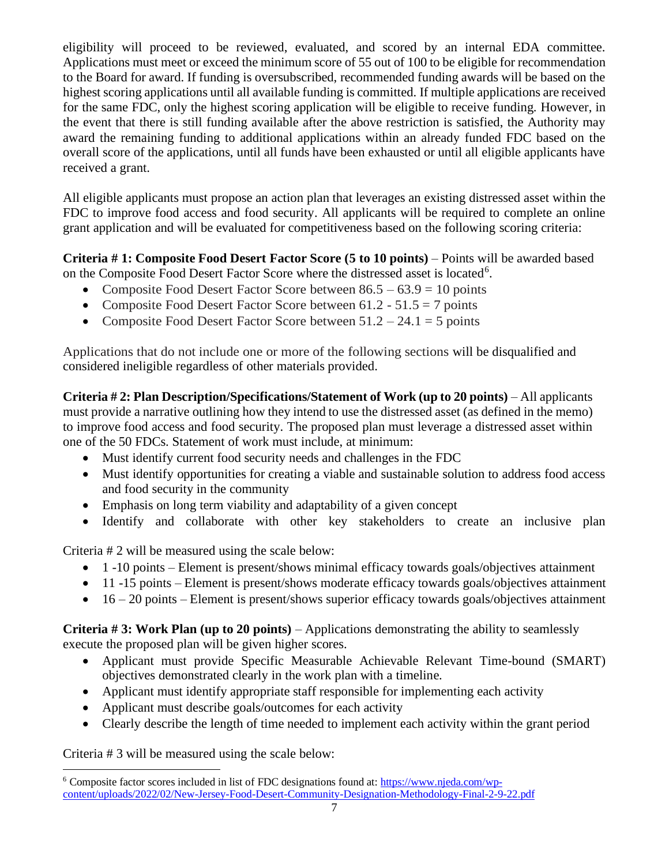eligibility will proceed to be reviewed, evaluated, and scored by an internal EDA committee. Applications must meet or exceed the minimum score of 55 out of 100 to be eligible for recommendation to the Board for award. If funding is oversubscribed, recommended funding awards will be based on the highest scoring applications until all available funding is committed. If multiple applications are received for the same FDC, only the highest scoring application will be eligible to receive funding. However, in the event that there is still funding available after the above restriction is satisfied, the Authority may award the remaining funding to additional applications within an already funded FDC based on the overall score of the applications, until all funds have been exhausted or until all eligible applicants have received a grant.

All eligible applicants must propose an action plan that leverages an existing distressed asset within the FDC to improve food access and food security. All applicants will be required to complete an online grant application and will be evaluated for competitiveness based on the following scoring criteria:

**Criteria # 1: Composite Food Desert Factor Score (5 to 10 points)** – Points will be awarded based on the Composite Food Desert Factor Score where the distressed asset is located<sup>6</sup>.

- Composite Food Desert Factor Score between  $86.5 63.9 = 10$  points
- Composite Food Desert Factor Score between  $61.2 51.5 = 7$  points
- Composite Food Desert Factor Score between  $51.2 24.1 = 5$  points

Applications that do not include one or more of the following sections will be disqualified and considered ineligible regardless of other materials provided.

**Criteria # 2: Plan Description/Specifications/Statement of Work (up to 20 points)** – All applicants must provide a narrative outlining how they intend to use the distressed asset (as defined in the memo) to improve food access and food security. The proposed plan must leverage a distressed asset within one of the 50 FDCs. Statement of work must include, at minimum:

- Must identify current food security needs and challenges in the FDC
- Must identify opportunities for creating a viable and sustainable solution to address food access and food security in the community
- Emphasis on long term viability and adaptability of a given concept
- Identify and collaborate with other key stakeholders to create an inclusive plan

Criteria # 2 will be measured using the scale below:

- 1 -10 points Element is present/shows minimal efficacy towards goals/objectives attainment
- 11 -15 points Element is present/shows moderate efficacy towards goals/objectives attainment
- $\bullet$  16 20 points Element is present/shows superior efficacy towards goals/objectives attainment

**Criteria # 3: Work Plan (up to 20 points)** – Applications demonstrating the ability to seamlessly execute the proposed plan will be given higher scores.

- Applicant must provide Specific Measurable Achievable Relevant Time-bound (SMART) objectives demonstrated clearly in the work plan with a timeline.
- Applicant must identify appropriate staff responsible for implementing each activity
- Applicant must describe goals/outcomes for each activity
- Clearly describe the length of time needed to implement each activity within the grant period

Criteria # 3 will be measured using the scale below:

<sup>&</sup>lt;sup>6</sup> Composite factor scores included in list of FDC designations found at: [https://www.njeda.com/wp](https://www.njeda.com/wp-content/uploads/2022/02/New-Jersey-Food-Desert-Community-Designation-Methodology-Final-2-9-22.pdf)[content/uploads/2022/02/New-Jersey-Food-Desert-Community-Designation-Methodology-Final-2-9-22.pdf](https://www.njeda.com/wp-content/uploads/2022/02/New-Jersey-Food-Desert-Community-Designation-Methodology-Final-2-9-22.pdf)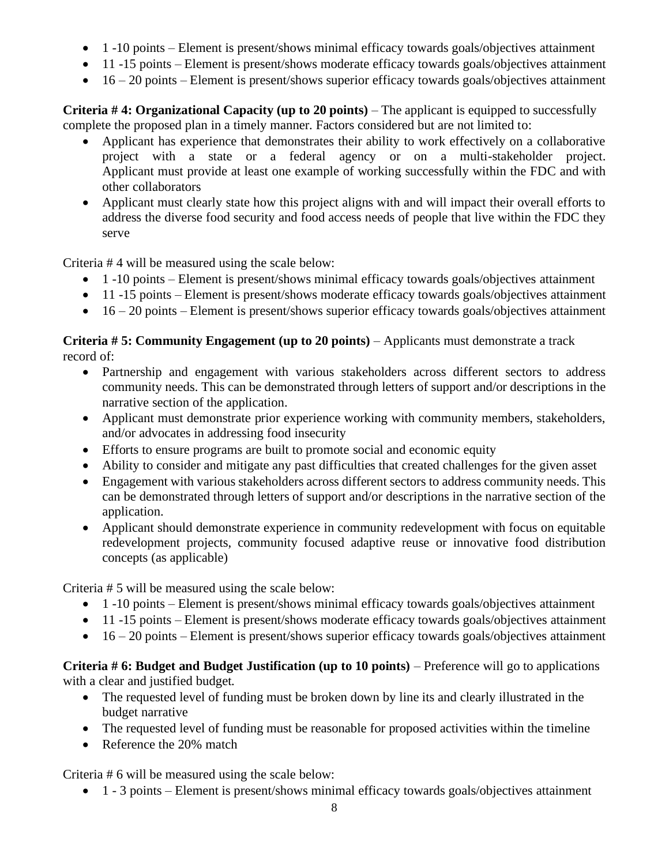- 1 -10 points Element is present/shows minimal efficacy towards goals/objectives attainment
- 11 -15 points Element is present/shows moderate efficacy towards goals/objectives attainment
- $\bullet$  16 20 points Element is present/shows superior efficacy towards goals/objectives attainment

**Criteria #4: Organizational Capacity (up to 20 points)** – The applicant is equipped to successfully complete the proposed plan in a timely manner. Factors considered but are not limited to:

- Applicant has experience that demonstrates their ability to work effectively on a collaborative project with a state or a federal agency or on a multi-stakeholder project. Applicant must provide at least one example of working successfully within the FDC and with other collaborators
- Applicant must clearly state how this project aligns with and will impact their overall efforts to address the diverse food security and food access needs of people that live within the FDC they serve

Criteria # 4 will be measured using the scale below:

- 1 -10 points Element is present/shows minimal efficacy towards goals/objectives attainment
- 11 -15 points Element is present/shows moderate efficacy towards goals/objectives attainment
- $\bullet$  16 20 points Element is present/shows superior efficacy towards goals/objectives attainment

## **Criteria # 5: Community Engagement (up to 20 points)** – Applicants must demonstrate a track record of:

- Partnership and engagement with various stakeholders across different sectors to address community needs. This can be demonstrated through letters of support and/or descriptions in the narrative section of the application.
- Applicant must demonstrate prior experience working with community members, stakeholders, and/or advocates in addressing food insecurity
- Efforts to ensure programs are built to promote social and economic equity
- Ability to consider and mitigate any past difficulties that created challenges for the given asset
- Engagement with various stakeholders across different sectors to address community needs. This can be demonstrated through letters of support and/or descriptions in the narrative section of the application.
- Applicant should demonstrate experience in community redevelopment with focus on equitable redevelopment projects, community focused adaptive reuse or innovative food distribution concepts (as applicable)

Criteria # 5 will be measured using the scale below:

- 1 -10 points Element is present/shows minimal efficacy towards goals/objectives attainment
- 11 -15 points Element is present/shows moderate efficacy towards goals/objectives attainment
- $\bullet$  16 20 points Element is present/shows superior efficacy towards goals/objectives attainment

**Criteria # 6: Budget and Budget Justification (up to 10 points)** – Preference will go to applications with a clear and justified budget.

- The requested level of funding must be broken down by line its and clearly illustrated in the budget narrative
- The requested level of funding must be reasonable for proposed activities within the timeline
- Reference the 20% match

Criteria # 6 will be measured using the scale below:

• 1 - 3 points – Element is present/shows minimal efficacy towards goals/objectives attainment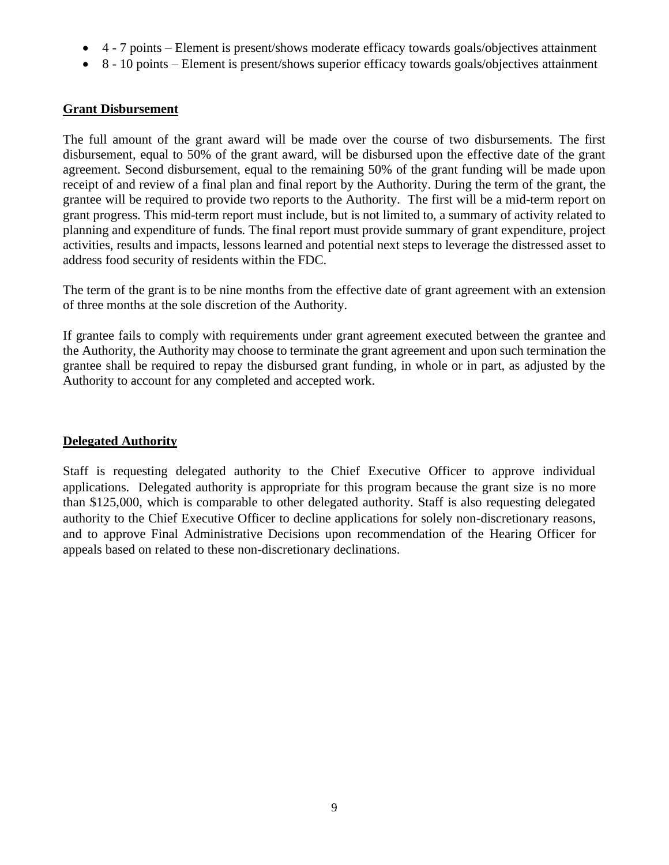- 4 7 points Element is present/shows moderate efficacy towards goals/objectives attainment
- 8 10 points Element is present/shows superior efficacy towards goals/objectives attainment

#### **Grant Disbursement**

The full amount of the grant award will be made over the course of two disbursements. The first disbursement, equal to 50% of the grant award, will be disbursed upon the effective date of the grant agreement. Second disbursement, equal to the remaining 50% of the grant funding will be made upon receipt of and review of a final plan and final report by the Authority. During the term of the grant, the grantee will be required to provide two reports to the Authority. The first will be a mid-term report on grant progress. This mid-term report must include, but is not limited to, a summary of activity related to planning and expenditure of funds. The final report must provide summary of grant expenditure, project activities, results and impacts, lessons learned and potential next steps to leverage the distressed asset to address food security of residents within the FDC.

The term of the grant is to be nine months from the effective date of grant agreement with an extension of three months at the sole discretion of the Authority.

If grantee fails to comply with requirements under grant agreement executed between the grantee and the Authority, the Authority may choose to terminate the grant agreement and upon such termination the grantee shall be required to repay the disbursed grant funding, in whole or in part, as adjusted by the Authority to account for any completed and accepted work.

#### **Delegated Authority**

Staff is requesting delegated authority to the Chief Executive Officer to approve individual applications. Delegated authority is appropriate for this program because the grant size is no more than \$125,000, which is comparable to other delegated authority. Staff is also requesting delegated authority to the Chief Executive Officer to decline applications for solely non-discretionary reasons, and to approve Final Administrative Decisions upon recommendation of the Hearing Officer for appeals based on related to these non-discretionary declinations.